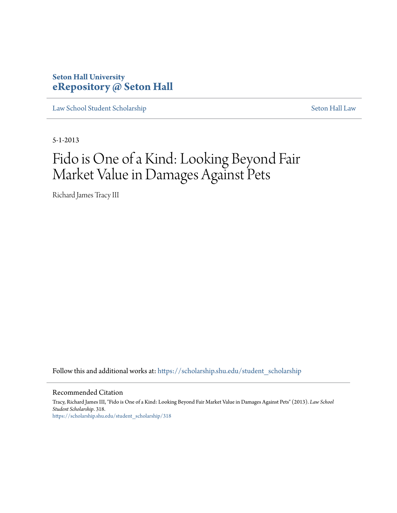### **Seton Hall University [eRepository @ Seton Hall](https://scholarship.shu.edu?utm_source=scholarship.shu.edu%2Fstudent_scholarship%2F318&utm_medium=PDF&utm_campaign=PDFCoverPages)**

[Law School Student Scholarship](https://scholarship.shu.edu/student_scholarship?utm_source=scholarship.shu.edu%2Fstudent_scholarship%2F318&utm_medium=PDF&utm_campaign=PDFCoverPages) [Seton Hall Law](https://scholarship.shu.edu/law?utm_source=scholarship.shu.edu%2Fstudent_scholarship%2F318&utm_medium=PDF&utm_campaign=PDFCoverPages)

5-1-2013

# Fido is One of a Kind: Looking Beyond Fair Market Value in Damages Against Pets

Richard James Tracy III

Follow this and additional works at: [https://scholarship.shu.edu/student\\_scholarship](https://scholarship.shu.edu/student_scholarship?utm_source=scholarship.shu.edu%2Fstudent_scholarship%2F318&utm_medium=PDF&utm_campaign=PDFCoverPages)

#### Recommended Citation

Tracy, Richard James III, "Fido is One of a Kind: Looking Beyond Fair Market Value in Damages Against Pets" (2013). *Law School Student Scholarship*. 318. [https://scholarship.shu.edu/student\\_scholarship/318](https://scholarship.shu.edu/student_scholarship/318?utm_source=scholarship.shu.edu%2Fstudent_scholarship%2F318&utm_medium=PDF&utm_campaign=PDFCoverPages)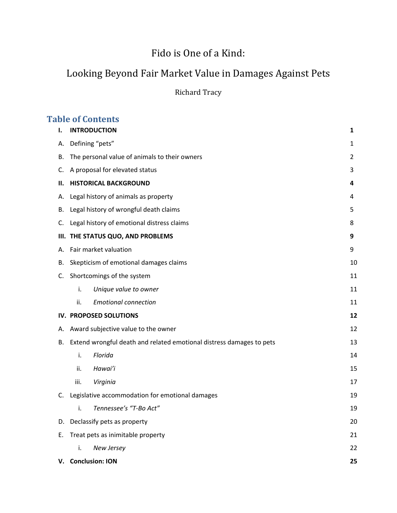# Fido is One of a Kind:

## Looking Beyond Fair Market Value in Damages Against Pets

Richard Tracy

### **Table of Contents**

| ı. | <b>INTRODUCTION</b>                                                  | 1  |
|----|----------------------------------------------------------------------|----|
| А. | Defining "pets"                                                      | 1  |
| В. | The personal value of animals to their owners                        | 2  |
| C. | A proposal for elevated status                                       | 3  |
| н. | <b>HISTORICAL BACKGROUND</b>                                         | 4  |
| А. | Legal history of animals as property                                 | 4  |
| В. | Legal history of wrongful death claims                               | 5  |
| C. | Legal history of emotional distress claims                           | 8  |
|    | III. THE STATUS QUO, AND PROBLEMS                                    | 9  |
| А. | Fair market valuation                                                | 9  |
| В. | Skepticism of emotional damages claims                               | 10 |
| C. | Shortcomings of the system                                           | 11 |
|    | i.<br>Unique value to owner                                          | 11 |
|    | <b>Emotional connection</b><br>ii.                                   | 11 |
|    | IV. PROPOSED SOLUTIONS                                               | 12 |
| А. | Award subjective value to the owner                                  | 12 |
| В. | Extend wrongful death and related emotional distress damages to pets | 13 |
|    | Florida<br>i.                                                        | 14 |
|    | Hawai'i<br>ii.                                                       | 15 |
|    | Virginia<br>iii.                                                     | 17 |
|    | C. Legislative accommodation for emotional damages                   | 19 |
|    | Tennessee's "T-Bo Act"<br>i.                                         | 19 |
| D. | Declassify pets as property                                          | 20 |
| Е. | Treat pets as inimitable property                                    | 21 |
|    | i.<br>New Jersey                                                     | 22 |
|    | V. Conclusion: ION                                                   | 25 |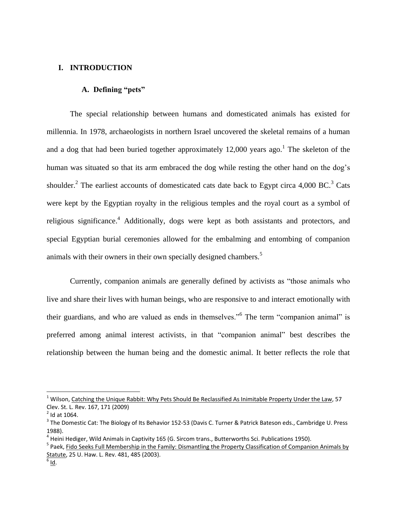#### **I. INTRODUCTION**

#### **A. Defining "pets"**

The special relationship between humans and domesticated animals has existed for millennia. In 1978, archaeologists in northern Israel uncovered the skeletal remains of a human and a dog that had been buried together approximately  $12,000$  years ago.<sup>1</sup> The skeleton of the human was situated so that its arm embraced the dog while resting the other hand on the dog's shoulder.<sup>2</sup> The earliest accounts of domesticated cats date back to Egypt circa 4,000 BC.<sup>3</sup> Cats were kept by the Egyptian royalty in the religious temples and the royal court as a symbol of religious significance.<sup>4</sup> Additionally, dogs were kept as both assistants and protectors, and special Egyptian burial ceremonies allowed for the embalming and entombing of companion animals with their owners in their own specially designed chambers.<sup>5</sup>

Currently, companion animals are generally defined by activists as "those animals who live and share their lives with human beings, who are responsive to and interact emotionally with their guardians, and who are valued as ends in themselves."<sup>6</sup> The term "companion animal" is preferred among animal interest activists, in that "companion animal" best describes the relationship between the human being and the domestic animal. It better reflects the role that

<sup>&</sup>lt;sup>1</sup> Wilson, Catching the Unique Rabbit: Why Pets Should Be Reclassified As Inimitable Property Under the Law, 57 Clev. St. L. Rev. 167, 171 (2009)

 $2$  Id at 1064.

<sup>&</sup>lt;sup>3</sup> The Domestic Cat: The Biology of Its Behavior 152-53 (Davis C. Turner & Patrick Bateson eds., Cambridge U. Press 1988).

<sup>&</sup>lt;sup>4</sup> Heini Hediger, Wild Animals in Captivity 165 (G. Sircom trans., Butterworths Sci. Publications 1950).

<sup>&</sup>lt;sup>5</sup> Paek, <u>Fido Seeks Full Membership in the Family: Dismantling the Property Classification of Companion Animals by</u> Statute, 25 U. Haw. L. Rev. 481, 485 (2003).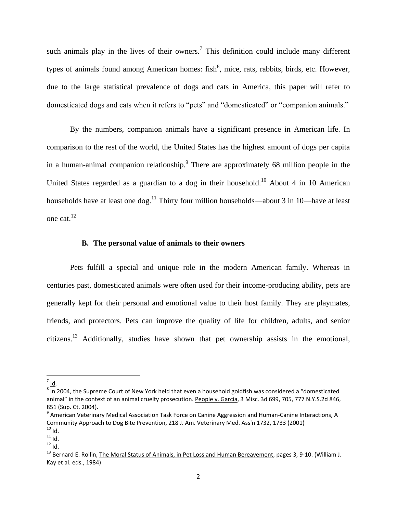such animals play in the lives of their owners.<sup>7</sup> This definition could include many different types of animals found among American homes: fish<sup>8</sup>, mice, rats, rabbits, birds, etc. However, due to the large statistical prevalence of dogs and cats in America, this paper will refer to domesticated dogs and cats when it refers to "pets" and "domesticated" or "companion animals."

By the numbers, companion animals have a significant presence in American life. In comparison to the rest of the world, the United States has the highest amount of dogs per capita in a human-animal companion relationship. There are approximately 68 million people in the United States regarded as a guardian to a dog in their household.<sup>10</sup> About 4 in 10 American households have at least one dog.<sup>11</sup> Thirty four million households—about 3 in 10—have at least one cat.<sup>12</sup>

#### **B. The personal value of animals to their owners**

Pets fulfill a special and unique role in the modern American family. Whereas in centuries past, domesticated animals were often used for their income-producing ability, pets are generally kept for their personal and emotional value to their host family. They are playmates, friends, and protectors. Pets can improve the quality of life for children, adults, and senior citizens.<sup>13</sup> Additionally, studies have shown that pet ownership assists in the emotional,

 $\overline{\phantom{a}}$ <sup>7</sup> Id.

 $^8$  In 2004, the Supreme Court of New York held that even a household goldfish was considered a "domesticated animal" in the context of an animal cruelty prosecution. People v. Garcia, 3 Misc. 3d 699, 705, 777 N.Y.S.2d 846, 851 (Sup. Ct. 2004).

<sup>&</sup>lt;sup>9</sup> American Veterinary Medical Association Task Force on Canine Aggression and Human-Canine Interactions, A Community Approach to Dog Bite Prevention, 218 J. Am. Veterinary Med. Ass'n 1732, 1733 (2001)

 $10$  Id.

 $11$  Id.  $12$  Id.

<sup>&</sup>lt;sup>13</sup> Bernard E. Rollin, The Moral Status of Animals, in Pet Loss and Human Bereavement, pages 3, 9-10. (William J. Kay et al. eds., 1984)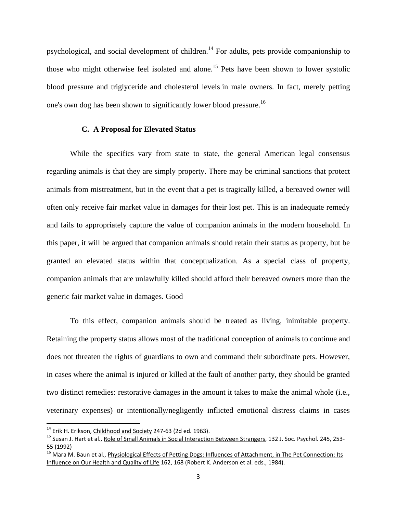psychological, and social development of children.<sup>14</sup> For adults, pets provide companionship to those who might otherwise feel isolated and alone.<sup>15</sup> Pets have been shown to lower systolic blood pressure and triglyceride and cholesterol levels in male owners. In fact, merely petting one's own dog has been shown to significantly lower blood pressure.<sup>16</sup>

#### **C. A Proposal for Elevated Status**

While the specifics vary from state to state, the general American legal consensus regarding animals is that they are simply property. There may be criminal sanctions that protect animals from mistreatment, but in the event that a pet is tragically killed, a bereaved owner will often only receive fair market value in damages for their lost pet. This is an inadequate remedy and fails to appropriately capture the value of companion animals in the modern household. In this paper, it will be argued that companion animals should retain their status as property, but be granted an elevated status within that conceptualization. As a special class of property, companion animals that are unlawfully killed should afford their bereaved owners more than the generic fair market value in damages. Good

To this effect, companion animals should be treated as living, inimitable property. Retaining the property status allows most of the traditional conception of animals to continue and does not threaten the rights of guardians to own and command their subordinate pets. However, in cases where the animal is injured or killed at the fault of another party, they should be granted two distinct remedies: restorative damages in the amount it takes to make the animal whole (i.e., veterinary expenses) or intentionally/negligently inflicted emotional distress claims in cases

 $14$  Erik H. Erikson, Childhood and Society 247-63 (2d ed. 1963).

<sup>&</sup>lt;sup>15</sup> Susan J. Hart et al., Role of Small Animals in Social Interaction Between Strangers, 132 J. Soc. Psychol. 245, 253-55 (1992)

<sup>&</sup>lt;sup>16</sup> Mara M. Baun et al., Physiological Effects of Petting Dogs: Influences of Attachment, in The Pet Connection: Its Influence on Our Health and Quality of Life 162, 168 (Robert K. Anderson et al. eds., 1984).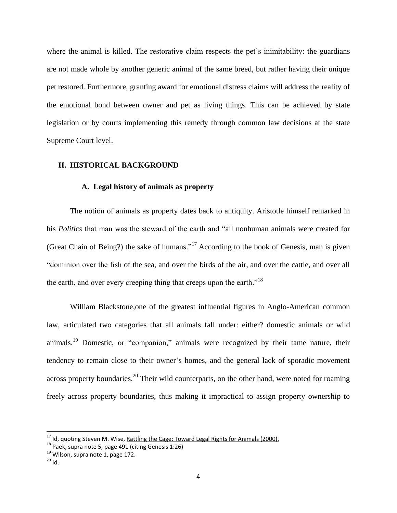where the animal is killed. The restorative claim respects the pet's inimitability: the guardians are not made whole by another generic animal of the same breed, but rather having their unique pet restored. Furthermore, granting award for emotional distress claims will address the reality of the emotional bond between owner and pet as living things. This can be achieved by state legislation or by courts implementing this remedy through common law decisions at the state Supreme Court level.

#### **II. HISTORICAL BACKGROUND**

#### **A. Legal history of animals as property**

The notion of animals as property dates back to antiquity. Aristotle himself remarked in his *Politics* that man was the steward of the earth and "all nonhuman animals were created for (Great Chain of Being?) the sake of humans."<sup>17</sup> According to the book of Genesis, man is given "dominion over the fish of the sea, and over the birds of the air, and over the cattle, and over all the earth, and over every creeping thing that creeps upon the earth."<sup>18</sup>

William Blackstone,one of the greatest influential figures in Anglo-American common law, articulated two categories that all animals fall under: either? domestic animals or wild animals.<sup>19</sup> Domestic, or "companion," animals were recognized by their tame nature, their tendency to remain close to their owner's homes, and the general lack of sporadic movement across property boundaries.<sup>20</sup> Their wild counterparts, on the other hand, were noted for roaming freely across property boundaries, thus making it impractical to assign property ownership to

<sup>&</sup>lt;sup>17</sup> Id, quoting Steven M. Wise, Rattling the Cage: Toward Legal Rights for Animals (2000).

<sup>&</sup>lt;sup>18</sup> Paek, supra note 5, page 491 (citing Genesis 1:26)

 $19$  Wilson, supra note 1, page 172.

 $20$  Id.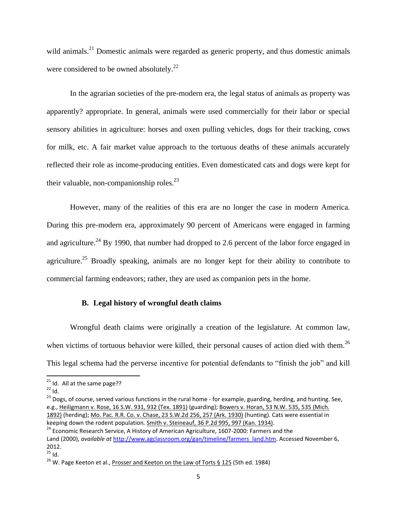wild animals.<sup>21</sup> Domestic animals were regarded as generic property, and thus domestic animals were considered to be owned absolutely.<sup>22</sup>

In the agrarian societies of the pre-modern era, the legal status of animals as property was apparently? appropriate. In general, animals were used commercially for their labor or special sensory abilities in agriculture: horses and oxen pulling vehicles, dogs for their tracking, cows for milk, etc. A fair market value approach to the tortuous deaths of these animals accurately reflected their role as income-producing entities. Even domesticated cats and dogs were kept for their valuable, non-companionship roles. $^{23}$ 

However, many of the realities of this era are no longer the case in modern America. During this pre-modern era, approximately 90 percent of Americans were engaged in farming and agriculture.<sup>24</sup> By 1990, that number had dropped to 2.6 percent of the labor force engaged in agriculture.<sup>25</sup> Broadly speaking, animals are no longer kept for their ability to contribute to commercial farming endeavors; rather, they are used as companion pets in the home.

#### **B. Legal history of wrongful death claims**

Wrongful death claims were originally a creation of the legislature. At common law, when victims of tortuous behavior were killed, their personal causes of action died with them.<sup>26</sup> This legal schema had the perverse incentive for potential defendants to "finish the job" and kill

 $\overline{\phantom{a}}$ 

<sup>23</sup> Dogs, of course, served various functions in the rural home - for example, guarding, herding, and hunting. See, e.g., [Heiligmann v. Rose, 16 S.W. 931, 932 \(Tex. 1891\)](https://1.next.westlaw.com/Link/Document/FullText?findType=Y&serNum=1891000498&pubNum=712&originationContext=document&transitionType=DocumentItem&contextData=(sc.Folder*cid.f409dd4f6d6642509f5cf4148b978d9b*oc.Search)#co_pp_sp_712_932) (guarding); [Bowers v. Horan, 53 N.W. 535, 535 \(Mich.](https://1.next.westlaw.com/Link/Document/FullText?findType=Y&serNum=1892004571&pubNum=594&originationContext=document&transitionType=DocumentItem&contextData=(sc.Folder*cid.f409dd4f6d6642509f5cf4148b978d9b*oc.Search)#co_pp_sp_594_535)  [1892\)](https://1.next.westlaw.com/Link/Document/FullText?findType=Y&serNum=1892004571&pubNum=594&originationContext=document&transitionType=DocumentItem&contextData=(sc.Folder*cid.f409dd4f6d6642509f5cf4148b978d9b*oc.Search)#co_pp_sp_594_535) (herding); [Mo. Pac. R.R. Co. v. Chase, 23 S.W.2d 256, 257 \(Ark. 1930\)](https://1.next.westlaw.com/Link/Document/FullText?findType=Y&serNum=1930117100&pubNum=713&originationContext=document&transitionType=DocumentItem&contextData=(sc.Folder*cid.f409dd4f6d6642509f5cf4148b978d9b*oc.Search)#co_pp_sp_713_257) (hunting). Cats were essential in keeping down the rodent population. [Smith v. Steineauf, 36 P.2d 995, 997 \(Kan. 1934\).](https://1.next.westlaw.com/Link/Document/FullText?findType=Y&serNum=1934117524&pubNum=661&originationContext=document&transitionType=DocumentItem&contextData=(sc.Folder*cid.f409dd4f6d6642509f5cf4148b978d9b*oc.Search)#co_pp_sp_661_997)

 $21$  Id. All at the same page??

 $^{22}$  Id.

<sup>&</sup>lt;sup>24</sup> Economic Research Service, A History of American Agriculture, 1607-2000: Farmers and the Land (2000), *available at* [http://www.agclassroom.org/gan/timeline/farmers\\_land.htm.](http://www.agclassroom.org/gan/timeline/farmers_land.htm) Accessed November 6, 2012.

 $^{25}$  Id.

 $26$  W. Page Keeton et al., Prosser and Keeton on the Law of Torts § 125 (5th ed. 1984)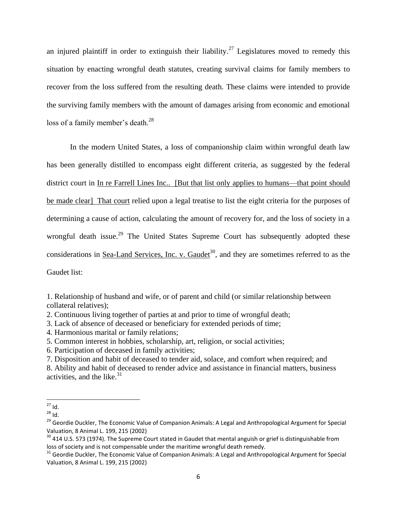an injured plaintiff in order to extinguish their liability.<sup>27</sup> Legislatures moved to remedy this situation by enacting wrongful death statutes, creating survival claims for family members to recover from the loss suffered from the resulting death. These claims were intended to provide the surviving family members with the amount of damages arising from economic and emotional loss of a family member's death. $^{28}$ 

In the modern United States, a loss of companionship claim within wrongful death law has been generally distilled to encompass eight different criteria, as suggested by the federal district court in In re Farrell Lines Inc.. [But that list only applies to humans—that point should be made clear] That court relied upon a legal treatise to list the eight criteria for the purposes of determining a cause of action, calculating the amount of recovery for, and the loss of society in a wrongful death issue.<sup>29</sup> The United States Supreme Court has subsequently adopted these considerations in Sea-Land Services, Inc. v. Gaudet<sup>30</sup>, and they are sometimes referred to as the Gaudet list:

1. Relationship of husband and wife, or of parent and child (or similar relationship between collateral relatives);

2. Continuous living together of parties at and prior to time of wrongful death;

3. Lack of absence of deceased or beneficiary for extended periods of time;

4. Harmonious marital or family relations;

5. Common interest in hobbies, scholarship, art, religion, or social activities;

6. Participation of deceased in family activities;

7. Disposition and habit of deceased to tender aid, solace, and comfort when required; and

8. Ability and habit of deceased to render advice and assistance in financial matters, business activities, and the like. $31$ 

 $\overline{a}$  $^{27}$  Id.

 $28 \overline{1d}$ 

<sup>&</sup>lt;sup>29</sup> Geordie Duckler, The Economic Value of Companion Animals: A Legal and Anthropological Argument for Special Valuation, 8 Animal L. 199, 215 (2002)

<sup>&</sup>lt;sup>30</sup> 414 U.S. 573 (1974). The Supreme Court stated in Gaudet that mental anguish or grief is distinguishable from loss of society and is not compensable under the maritime wrongful death remedy.

<sup>&</sup>lt;sup>31</sup> Geordie Duckler, The Economic Value of Companion Animals: A Legal and Anthropological Argument for Special Valuation, 8 Animal L. 199, 215 (2002)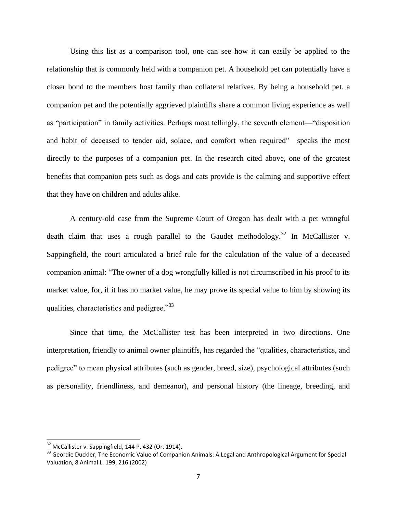Using this list as a comparison tool, one can see how it can easily be applied to the relationship that is commonly held with a companion pet. A household pet can potentially have a closer bond to the members host family than collateral relatives. By being a household pet. a companion pet and the potentially aggrieved plaintiffs share a common living experience as well as "participation" in family activities. Perhaps most tellingly, the seventh element—"disposition and habit of deceased to tender aid, solace, and comfort when required"—speaks the most directly to the purposes of a companion pet. In the research cited above, one of the greatest benefits that companion pets such as dogs and cats provide is the calming and supportive effect that they have on children and adults alike.

A century-old case from the Supreme Court of Oregon has dealt with a pet wrongful death claim that uses a rough parallel to the Gaudet methodology.<sup>32</sup> In McCallister v. Sappingfield, the court articulated a brief rule for the calculation of the value of a deceased companion animal: "The owner of a dog wrongfully killed is not circumscribed in his proof to its market value, for, if it has no market value, he may prove its special value to him by showing its qualities, characteristics and pedigree."<sup>33</sup>

Since that time, the McCallister test has been interpreted in two directions. One interpretation, friendly to animal owner plaintiffs, has regarded the "qualities, characteristics, and pedigree" to mean physical attributes (such as gender, breed, size), psychological attributes (such as personality, friendliness, and demeanor), and personal history (the lineage, breeding, and

 $32$  McCallister v. Sappingfield, 144 P. 432 (Or. 1914).

<sup>&</sup>lt;sup>33</sup> Geordie Duckler, The Economic Value of Companion Animals: A Legal and Anthropological Argument for Special Valuation, 8 Animal L. 199, 216 (2002)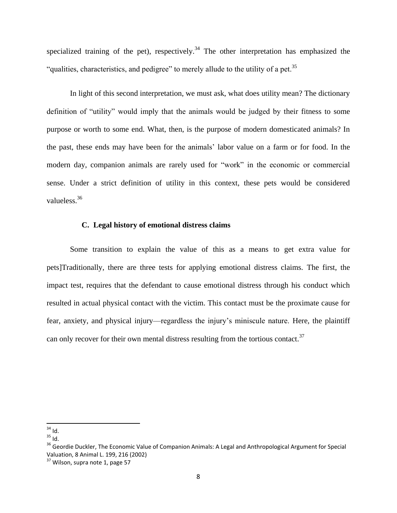specialized training of the pet), respectively.<sup>34</sup> The other interpretation has emphasized the "qualities, characteristics, and pedigree" to merely allude to the utility of a pet.<sup>35</sup>

In light of this second interpretation, we must ask, what does utility mean? The dictionary definition of "utility" would imply that the animals would be judged by their fitness to some purpose or worth to some end. What, then, is the purpose of modern domesticated animals? In the past, these ends may have been for the animals' labor value on a farm or for food. In the modern day, companion animals are rarely used for "work" in the economic or commercial sense. Under a strict definition of utility in this context, these pets would be considered valueless.<sup>36</sup>

#### **C. Legal history of emotional distress claims**

Some transition to explain the value of this as a means to get extra value for pets]Traditionally, there are three tests for applying emotional distress claims. The first, the impact test, requires that the defendant to cause emotional distress through his conduct which resulted in actual physical contact with the victim. This contact must be the proximate cause for fear, anxiety, and physical injury—regardless the injury's miniscule nature. Here, the plaintiff can only recover for their own mental distress resulting from the tortious contact. $37$ 

 $\overline{\phantom{a}}$  $34$  Id.

 $35$  Id.

<sup>&</sup>lt;sup>36</sup> Geordie Duckler, The Economic Value of Companion Animals: A Legal and Anthropological Argument for Special Valuation, 8 Animal L. 199, 216 (2002)

<sup>&</sup>lt;sup>37</sup> Wilson, supra note 1, page 57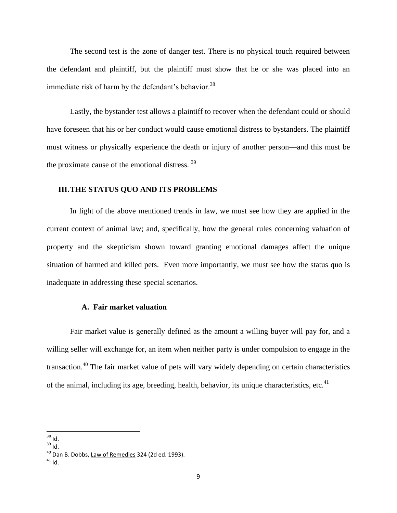The second test is the zone of danger test. There is no physical touch required between the defendant and plaintiff, but the plaintiff must show that he or she was placed into an immediate risk of harm by the defendant's behavior.<sup>38</sup>

Lastly, the bystander test allows a plaintiff to recover when the defendant could or should have foreseen that his or her conduct would cause emotional distress to bystanders. The plaintiff must witness or physically experience the death or injury of another person—and this must be the proximate cause of the emotional distress. <sup>39</sup>

#### **III.THE STATUS QUO AND ITS PROBLEMS**

In light of the above mentioned trends in law, we must see how they are applied in the current context of animal law; and, specifically, how the general rules concerning valuation of property and the skepticism shown toward granting emotional damages affect the unique situation of harmed and killed pets. Even more importantly, we must see how the status quo is inadequate in addressing these special scenarios.

#### **A. Fair market valuation**

Fair market value is generally defined as the amount a willing buyer will pay for, and a willing seller will exchange for, an item when neither party is under compulsion to engage in the transaction.<sup>40</sup> The fair market value of pets will vary widely depending on certain characteristics of the animal, including its age, breeding, health, behavior, its unique characteristics, etc.<sup>41</sup>

 $\overline{a}$  $38$  Id.

<sup>39</sup> Id.

<sup>40</sup> Dan B. Dobbs, Law of Remedies 324 (2d ed. 1993).

 $41$  Id.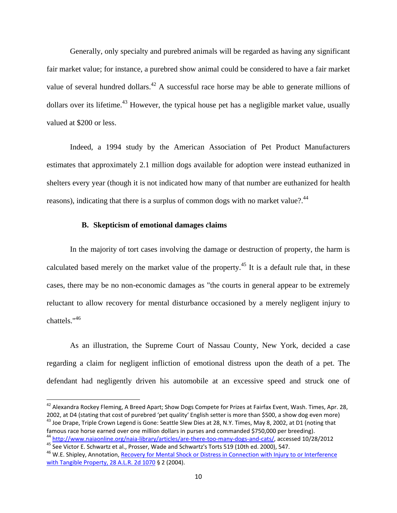Generally, only specialty and purebred animals will be regarded as having any significant fair market value; for instance, a purebred show animal could be considered to have a fair market value of several hundred dollars.<sup>42</sup> A successful race horse may be able to generate millions of dollars over its lifetime.<sup>43</sup> However, the typical house pet has a negligible market value, usually valued at \$200 or less.

Indeed, a 1994 study by the American Association of Pet Product Manufacturers estimates that approximately 2.1 million dogs available for adoption were instead euthanized in shelters every year (though it is not indicated how many of that number are euthanized for health reasons), indicating that there is a surplus of common dogs with no market value?.<sup>44</sup>

#### **B. Skepticism of emotional damages claims**

 $\overline{a}$ 

In the majority of tort cases involving the damage or destruction of property, the harm is calculated based merely on the market value of the property.<sup>45</sup> It is a default rule that, in these cases, there may be no non-economic damages as "the courts in general appear to be extremely reluctant to allow recovery for mental disturbance occasioned by a merely negligent injury to chattels."<sup>46</sup>

As an illustration, the Supreme Court of Nassau County, New York, decided a case regarding a claim for negligent infliction of emotional distress upon the death of a pet. The defendant had negligently driven his automobile at an excessive speed and struck one of

 $^{42}$  Alexandra Rockey Fleming, A Breed Apart; Show Dogs Compete for Prizes at Fairfax Event, Wash. Times, Apr. 28, 2002, at D4 (stating that cost of purebred 'pet quality' English setter is more than \$500, a show dog even more) <sup>43</sup> Joe Drape, Triple Crown Legend is Gone: Seattle Slew Dies at 28, N.Y. Times, May 8, 2002, at D1 (noting that famous race horse earned over one million dollars in purses and commanded \$750,000 per breeding).

<sup>&</sup>lt;sup>44</sup> [http://www.naiaonline.org/naia-library/articles/are-there-too-many-dogs-and-cats/,](http://www.naiaonline.org/naia-library/articles/are-there-too-many-dogs-and-cats/) accessed 10/28/2012 45 See Victor E. Schwartz et al., Prosser, Wade and Schwartz's Torts 519 (10th ed. 2000), 547.

<sup>&</sup>lt;sup>46</sup> W.E. Shipley, Annotation, Recovery for Mental Shock or Distress in Connection with Injury to or Interference [with Tangible Property, 28 A.L.R. 2d 1070](https://1.next.westlaw.com/Link/Document/FullText?findType=Y&serNum=1953010567&pubNum=107&originationContext=document&transitionType=DocumentItem&contextData=(sc.History*oc.DocLink)) § 2 (2004).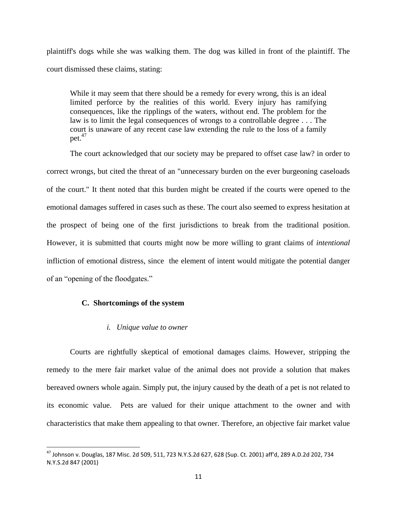plaintiff's dogs while she was walking them. The dog was killed in front of the plaintiff. The court dismissed these claims, stating:

While it may seem that there should be a remedy for every wrong, this is an ideal limited perforce by the realities of this world. Every injury has ramifying consequences, like the ripplings of the waters, without end. The problem for the law is to limit the legal consequences of wrongs to a controllable degree . . . The court is unaware of any recent case law extending the rule to the loss of a family pet. $47$ 

The court acknowledged that our society may be prepared to offset case law? in order to correct wrongs, but cited the threat of an "unnecessary burden on the ever burgeoning caseloads of the court." It thent noted that this burden might be created if the courts were opened to the emotional damages suffered in cases such as these. The court also seemed to express hesitation at the prospect of being one of the first jurisdictions to break from the traditional position. However, it is submitted that courts might now be more willing to grant claims of *intentional* infliction of emotional distress, since the element of intent would mitigate the potential danger of an "opening of the floodgates."

#### **C. Shortcomings of the system**

 $\overline{\phantom{a}}$ 

#### *i. Unique value to owner*

Courts are rightfully skeptical of emotional damages claims. However, stripping the remedy to the mere fair market value of the animal does not provide a solution that makes bereaved owners whole again. Simply put, the injury caused by the death of a pet is not related to its economic value. Pets are valued for their unique attachment to the owner and with characteristics that make them appealing to that owner. Therefore, an objective fair market value

<sup>47</sup> Johnson v. Douglas, 187 Misc. 2d 509, 511, 723 N.Y.S.2d 627, 628 (Sup. Ct. 2001) aff'd, 289 A.D.2d 202, 734 N.Y.S.2d 847 (2001)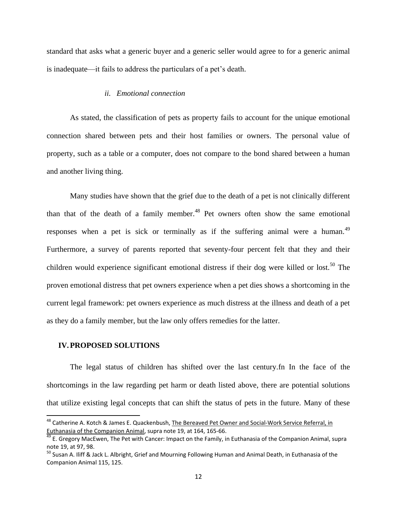standard that asks what a generic buyer and a generic seller would agree to for a generic animal is inadequate—it fails to address the particulars of a pet's death.

#### *ii. Emotional connection*

As stated, the classification of pets as property fails to account for the unique emotional connection shared between pets and their host families or owners. The personal value of property, such as a table or a computer, does not compare to the bond shared between a human and another living thing.

Many studies have shown that the grief due to the death of a pet is not clinically different than that of the death of a family member.<sup>48</sup> Pet owners often show the same emotional responses when a pet is sick or terminally as if the suffering animal were a human. $49$ Furthermore, a survey of parents reported that seventy-four percent felt that they and their children would experience significant emotional distress if their dog were killed or lost.<sup>50</sup> The proven emotional distress that pet owners experience when a pet dies shows a shortcoming in the current legal framework: pet owners experience as much distress at the illness and death of a pet as they do a family member, but the law only offers remedies for the latter.

#### **IV.PROPOSED SOLUTIONS**

l

The legal status of children has shifted over the last century.fn In the face of the shortcomings in the law regarding pet harm or death listed above, there are potential solutions that utilize existing legal concepts that can shift the status of pets in the future. Many of these

<sup>&</sup>lt;sup>48</sup> Catherine A. Kotch & James E. Quackenbush, The Bereaved Pet Owner and Social-Work Service Referral, in Euthanasia of the Companion Animal, supra note 19, at 164, 165-66.

<sup>&</sup>lt;sup>49</sup> E. Gregory MacEwen, The Pet with Cancer: Impact on the Family, in Euthanasia of the Companion Animal, supra note 19, at 97, 98.

<sup>&</sup>lt;sup>50</sup> Susan A. Iliff & Jack L. Albright, Grief and Mourning Following Human and Animal Death, in Euthanasia of the Companion Animal 115, 125.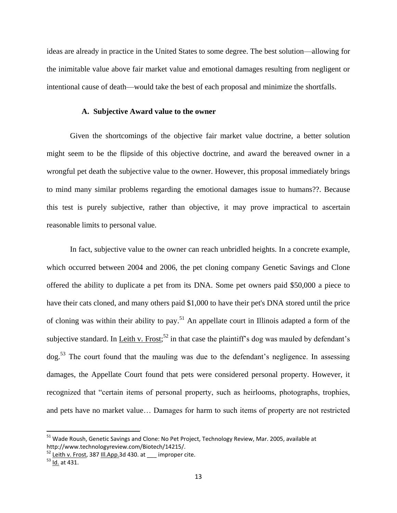ideas are already in practice in the United States to some degree. The best solution—allowing for the inimitable value above fair market value and emotional damages resulting from negligent or intentional cause of death—would take the best of each proposal and minimize the shortfalls.

#### **A. Subjective Award value to the owner**

Given the shortcomings of the objective fair market value doctrine, a better solution might seem to be the flipside of this objective doctrine, and award the bereaved owner in a wrongful pet death the subjective value to the owner. However, this proposal immediately brings to mind many similar problems regarding the emotional damages issue to humans??. Because this test is purely subjective, rather than objective, it may prove impractical to ascertain reasonable limits to personal value.

In fact, subjective value to the owner can reach unbridled heights. In a concrete example, which occurred between 2004 and 2006, the pet cloning company Genetic Savings and Clone offered the ability to duplicate a pet from its DNA. Some pet owners paid \$50,000 a piece to have their cats cloned, and many others paid \$1,000 to have their pet's DNA stored until the price of cloning was within their ability to pay.<sup>51</sup> An appellate court in Illinois adapted a form of the subjective standard. In Leith v. Frost;<sup>52</sup> in that case the plaintiff's dog was mauled by defendant's dog.<sup>53</sup> The court found that the mauling was due to the defendant's negligence. In assessing damages, the Appellate Court found that pets were considered personal property. However, it recognized that "certain items of personal property, such as heirlooms, photographs, trophies, and pets have no market value… Damages for harm to such items of property are not restricted

<sup>&</sup>lt;sup>51</sup> Wade Roush, Genetic Savings and Clone: No Pet Project, Technology Review, Mar. 2005, available at http://www.technologyreview.com/Biotech/14215/.

 $52$  Leith v. Frost, 387 III. App. 3d 430. at \_\_\_ improper cite.

 $\overline{53}$  Id. at 431.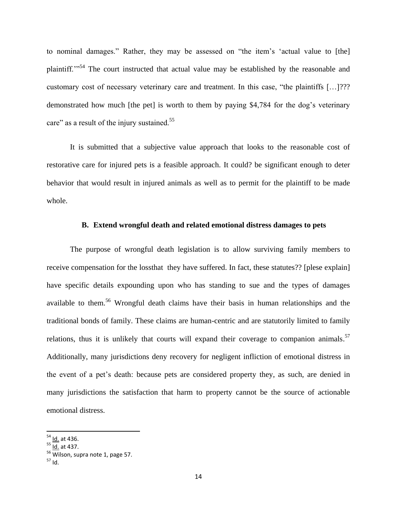to nominal damages." Rather, they may be assessed on "the item's 'actual value to [the] plaintiff."<sup>54</sup> The court instructed that actual value may be established by the reasonable and customary cost of necessary veterinary care and treatment. In this case, "the plaintiffs [...]??? demonstrated how much [the pet] is worth to them by paying \$4,784 for the dog's veterinary care" as a result of the injury sustained.<sup>55</sup>

It is submitted that a subjective value approach that looks to the reasonable cost of restorative care for injured pets is a feasible approach. It could? be significant enough to deter behavior that would result in injured animals as well as to permit for the plaintiff to be made whole.

#### **B. Extend wrongful death and related emotional distress damages to pets**

The purpose of wrongful death legislation is to allow surviving family members to receive compensation for the lossthat they have suffered. In fact, these statutes?? [plese explain] have specific details expounding upon who has standing to sue and the types of damages available to them.<sup>56</sup> Wrongful death claims have their basis in human relationships and the traditional bonds of family. These claims are human-centric and are statutorily limited to family relations, thus it is unlikely that courts will expand their coverage to companion animals.<sup>57</sup> Additionally, many jurisdictions deny recovery for negligent infliction of emotional distress in the event of a pet's death: because pets are considered property they, as such, are denied in many jurisdictions the satisfaction that harm to property cannot be the source of actionable emotional distress.

<sup>&</sup>lt;sup>54</sup> <u>Id.</u> at 436.

<sup>&</sup>lt;sup>55</sup> <u>Id.</u> at 437.

 $\overline{56}$  Wilson, supra note 1, page 57.

<sup>57</sup> Id.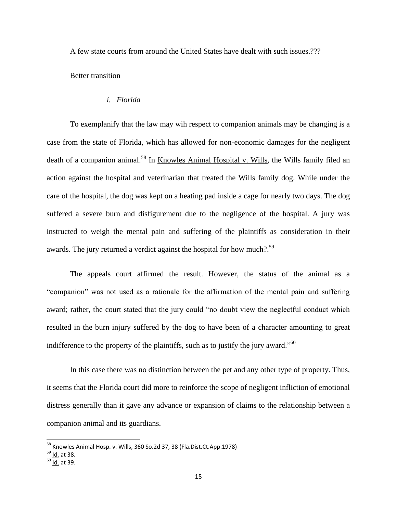A few state courts from around the United States have dealt with such issues.???

Better transition

#### *i. Florida*

To exemplanify that the law may wih respect to companion animals may be changing is a case from the state of Florida, which has allowed for non-economic damages for the negligent death of a companion animal.<sup>58</sup> In Knowles Animal Hospital v. Wills, the Wills family filed an action against the hospital and veterinarian that treated the Wills family dog. While under the care of the hospital, the dog was kept on a heating pad inside a cage for nearly two days. The dog suffered a severe burn and disfigurement due to the negligence of the hospital. A jury was instructed to weigh the mental pain and suffering of the plaintiffs as consideration in their awards. The jury returned a verdict against the hospital for how much?.<sup>59</sup>

The appeals court affirmed the result. However, the status of the animal as a "companion" was not used as a rationale for the affirmation of the mental pain and suffering award; rather, the court stated that the jury could "no doubt view the neglectful conduct which resulted in the burn injury suffered by the dog to have been of a character amounting to great indifference to the property of the plaintiffs, such as to justify the jury award."<sup>60</sup>

In this case there was no distinction between the pet and any other type of property. Thus, it seems that the Florida court did more to reinforce the scope of negligent infliction of emotional distress generally than it gave any advance or expansion of claims to the relationship between a companion animal and its guardians.

<sup>&</sup>lt;sup>58</sup> Knowles Animal Hosp. v. Wills, 360 So.2d 37, 38 (Fla.Dist.Ct.App.1978)

<sup>&</sup>lt;sup>59</sup> <u>Id.</u> at 38.

 $60$  Id. at 39.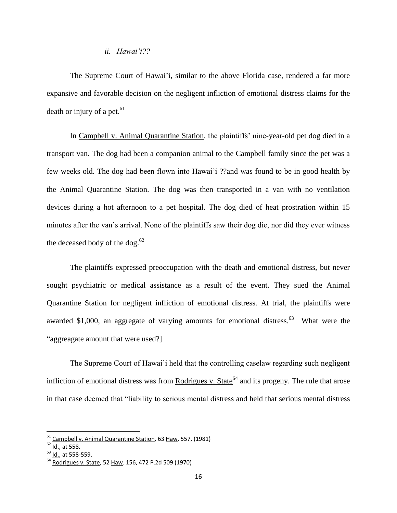#### *ii. Hawai'i??*

The Supreme Court of Hawai'i, similar to the above Florida case, rendered a far more expansive and favorable decision on the negligent infliction of emotional distress claims for the death or injury of a pet. $61$ 

In Campbell v. Animal Quarantine Station, the plaintiffs' nine-year-old pet dog died in a transport van. The dog had been a companion animal to the Campbell family since the pet was a few weeks old. The dog had been flown into Hawai'i ??and was found to be in good health by the Animal Quarantine Station. The dog was then transported in a van with no ventilation devices during a hot afternoon to a pet hospital. The dog died of heat prostration within 15 minutes after the van's arrival. None of the plaintiffs saw their dog die, nor did they ever witness the deceased body of the dog. $62$ 

The plaintiffs expressed preoccupation with the death and emotional distress, but never sought psychiatric or medical assistance as a result of the event. They sued the Animal Quarantine Station for negligent infliction of emotional distress. At trial, the plaintiffs were awarded \$1,000, an aggregate of varying amounts for emotional distress. $^{63}$  What were the "aggreagate amount that were used?]

The Supreme Court of Hawai'i held that the controlling caselaw regarding such negligent infliction of emotional distress was from Rodrigues v. State<sup>64</sup> and its progeny. The rule that arose in that case deemed that "liability to serious mental distress and held that serious mental distress

<sup>&</sup>lt;sup>61</sup> Campbell v. Animal Quarantine Station, 63 Haw. 557, (1981)

<sup>&</sup>lt;sup>62</sup> <u>Id.</u>, at 558.

 $\overline{63}$  Id., at 558-559.

<sup>&</sup>lt;sup>64</sup> Rodrigues v. State, 52 Haw. 156, 472 P.2d 509 (1970)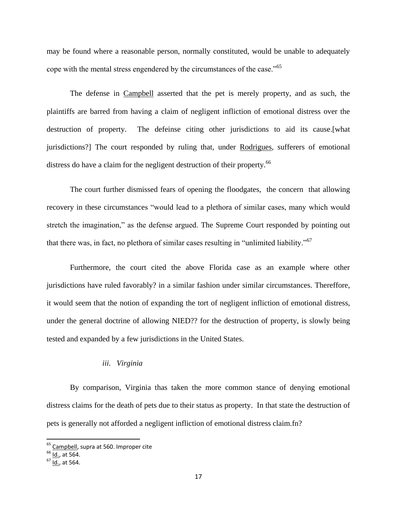may be found where a reasonable person, normally constituted, would be unable to adequately cope with the mental stress engendered by the circumstances of the case."<sup>65</sup>

The defense in Campbell asserted that the pet is merely property, and as such, the plaintiffs are barred from having a claim of negligent infliction of emotional distress over the destruction of property. The defeinse citing other jurisdictions to aid its cause.[what jurisdictions?] The court responded by ruling that, under Rodrigues, sufferers of emotional distress do have a claim for the negligent destruction of their property.<sup>66</sup>

The court further dismissed fears of opening the floodgates, the concern that allowing recovery in these circumstances "would lead to a plethora of similar cases, many which would stretch the imagination," as the defense argued. The Supreme Court responded by pointing out that there was, in fact, no plethora of similar cases resulting in "unlimited liability."<sup>67</sup>

Furthermore, the court cited the above Florida case as an example where other jurisdictions have ruled favorably? in a similar fashion under similar circumstances. Thereffore, it would seem that the notion of expanding the tort of negligent infliction of emotional distress, under the general doctrine of allowing NIED?? for the destruction of property, is slowly being tested and expanded by a few jurisdictions in the United States.

#### *iii. Virginia*

By comparison, Virginia thas taken the more common stance of denying emotional distress claims for the death of pets due to their status as property. In that state the destruction of pets is generally not afforded a negligent infliction of emotional distress claim.fn?

<sup>&</sup>lt;sup>65</sup> Campbell, supra at 560. Improper cite

<sup>&</sup>lt;sup>66</sup> <u>Id.</u>, at 564.

 $67 \frac{100}{10}$ , at 564.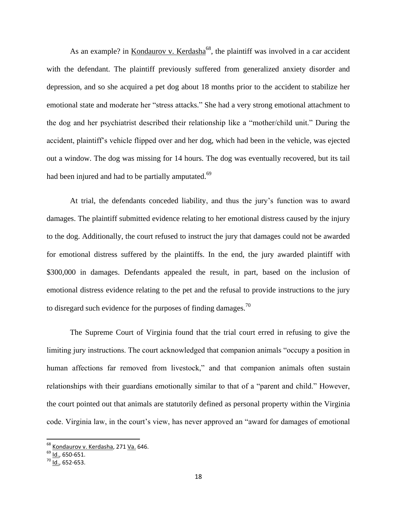As an example? in Kondaurov v. Kerdasha<sup>68</sup>, the plaintiff was involved in a car accident with the defendant. The plaintiff previously suffered from generalized anxiety disorder and depression, and so she acquired a pet dog about 18 months prior to the accident to stabilize her emotional state and moderate her "stress attacks." She had a very strong emotional attachment to the dog and her psychiatrist described their relationship like a "mother/child unit." During the accident, plaintiff's vehicle flipped over and her dog, which had been in the vehicle, was ejected out a window. The dog was missing for 14 hours. The dog was eventually recovered, but its tail had been injured and had to be partially amputated.<sup>69</sup>

At trial, the defendants conceded liability, and thus the jury's function was to award damages. The plaintiff submitted evidence relating to her emotional distress caused by the injury to the dog. Additionally, the court refused to instruct the jury that damages could not be awarded for emotional distress suffered by the plaintiffs. In the end, the jury awarded plaintiff with \$300,000 in damages. Defendants appealed the result, in part, based on the inclusion of emotional distress evidence relating to the pet and the refusal to provide instructions to the jury to disregard such evidence for the purposes of finding damages.<sup>70</sup>

The Supreme Court of Virginia found that the trial court erred in refusing to give the limiting jury instructions. The court acknowledged that companion animals "occupy a position in human affections far removed from livestock," and that companion animals often sustain relationships with their guardians emotionally similar to that of a "parent and child." However, the court pointed out that animals are statutorily defined as personal property within the Virginia code. Virginia law, in the court's view, has never approved an "award for damages of emotional

<sup>&</sup>lt;sup>68</sup> Kondaurov v. Kerdasha, 271 <u>Va.</u> 646.

<sup>&</sup>lt;sup>69</sup> <u>Id.</u>, 650-651.

 $70 \overline{1d}$ , 652-653.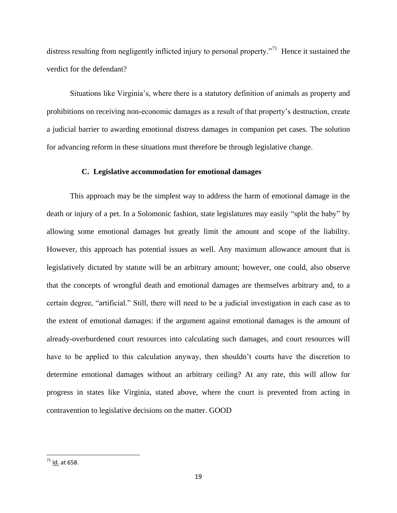distress resulting from negligently inflicted injury to personal property."<sup>71</sup> Hence it sustained the verdict for the defendant?

Situations like Virginia's, where there is a statutory definition of animals as property and prohibitions on receiving non-economic damages as a result of that property's destruction, create a judicial barrier to awarding emotional distress damages in companion pet cases. The solution for advancing reform in these situations must therefore be through legislative change.

#### **C. Legislative accommodation for emotional damages**

This approach may be the simplest way to address the harm of emotional damage in the death or injury of a pet. In a Solomonic fashion, state legislatures may easily "split the baby" by allowing some emotional damages but greatly limit the amount and scope of the liability. However, this approach has potential issues as well. Any maximum allowance amount that is legislatively dictated by statute will be an arbitrary amount; however, one could, also observe that the concepts of wrongful death and emotional damages are themselves arbitrary and, to a certain degree, "artificial." Still, there will need to be a judicial investigation in each case as to the extent of emotional damages: if the argument against emotional damages is the amount of already-overburdened court resources into calculating such damages, and court resources will have to be applied to this calculation anyway, then shouldn't courts have the discretion to determine emotional damages without an arbitrary ceiling? At any rate, this will allow for progress in states like Virginia, stated above, where the court is prevented from acting in contravention to legislative decisions on the matter. GOOD

<sup>&</sup>lt;sup>71</sup> <u>Id.</u> at 658.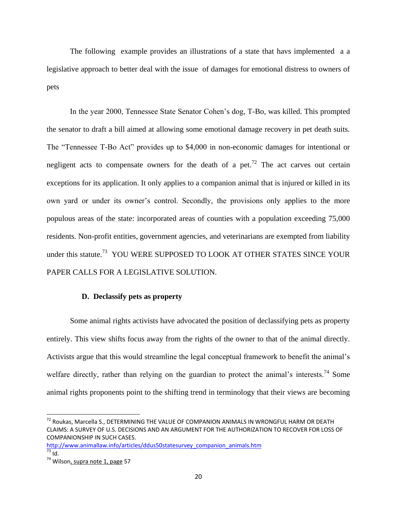The following example provides an illustrations of a state that havs implemented a a legislative approach to better deal with the issue of damages for emotional distress to owners of pets

In the year 2000, Tennessee State Senator Cohen's dog, T-Bo, was killed. This prompted the senator to draft a bill aimed at allowing some emotional damage recovery in pet death suits. The "Tennessee T-Bo Act" provides up to \$4,000 in non-economic damages for intentional or negligent acts to compensate owners for the death of a pet.<sup>72</sup> The act carves out certain exceptions for its application. It only applies to a companion animal that is injured or killed in its own yard or under its owner's control. Secondly, the provisions only applies to the more populous areas of the state: incorporated areas of counties with a population exceeding 75,000 residents. Non-profit entities, government agencies, and veterinarians are exempted from liability under this statute.<sup>73</sup> YOU WERE SUPPOSED TO LOOK AT OTHER STATES SINCE YOUR PAPER CALLS FOR A LEGISLATIVE SOLUTION.

#### **D. Declassify pets as property**

Some animal rights activists have advocated the position of declassifying pets as property entirely. This view shifts focus away from the rights of the owner to that of the animal directly. Activists argue that this would streamline the legal conceptual framework to benefit the animal's welfare directly, rather than relying on the guardian to protect the animal's interests.<sup>74</sup> Some animal rights proponents point to the shifting trend in terminology that their views are becoming

[http://www.animallaw.info/articles/ddus50statesurvey\\_companion\\_animals.htm](http://www.animallaw.info/articles/ddus50statesurvey_companion_animals.htm)  $73$  Id.

l

 $^{72}$  Roukas, Marcella S., DETERMINING THE VALUE OF COMPANION ANIMALS IN WRONGFUL HARM OR DEATH CLAIMS: A SURVEY OF U.S. DECISIONS AND AN ARGUMENT FOR THE AUTHORIZATION TO RECOVER FOR LOSS OF COMPANIONSHIP IN SUCH CASES.

<sup>&</sup>lt;sup>74</sup> Wilson, supra note 1, page 57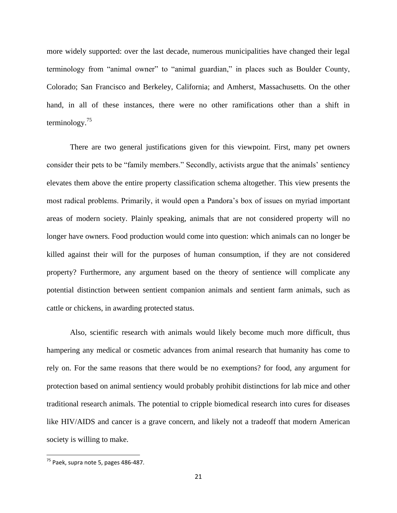more widely supported: over the last decade, numerous municipalities have changed their legal terminology from "animal owner" to "animal guardian," in places such as Boulder County, Colorado; San Francisco and Berkeley, California; and Amherst, Massachusetts. On the other hand, in all of these instances, there were no other ramifications other than a shift in terminology. $75$ 

There are two general justifications given for this viewpoint. First, many pet owners consider their pets to be "family members." Secondly, activists argue that the animals' sentiency elevates them above the entire property classification schema altogether. This view presents the most radical problems. Primarily, it would open a Pandora's box of issues on myriad important areas of modern society. Plainly speaking, animals that are not considered property will no longer have owners. Food production would come into question: which animals can no longer be killed against their will for the purposes of human consumption, if they are not considered property? Furthermore, any argument based on the theory of sentience will complicate any potential distinction between sentient companion animals and sentient farm animals, such as cattle or chickens, in awarding protected status.

Also, scientific research with animals would likely become much more difficult, thus hampering any medical or cosmetic advances from animal research that humanity has come to rely on. For the same reasons that there would be no exemptions? for food, any argument for protection based on animal sentiency would probably prohibit distinctions for lab mice and other traditional research animals. The potential to cripple biomedical research into cures for diseases like HIV/AIDS and cancer is a grave concern, and likely not a tradeoff that modern American society is willing to make.

<sup>&</sup>lt;sup>75</sup> Paek, supra note 5, pages 486-487.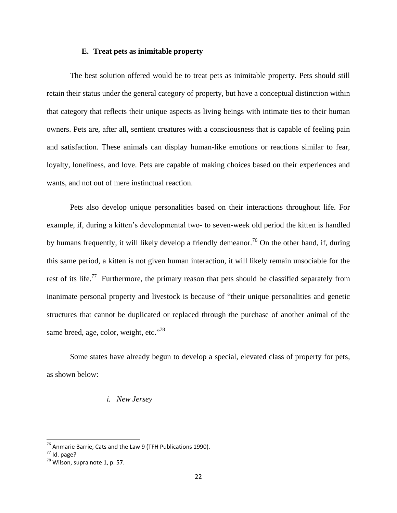#### **E. Treat pets as inimitable property**

The best solution offered would be to treat pets as inimitable property. Pets should still retain their status under the general category of property, but have a conceptual distinction within that category that reflects their unique aspects as living beings with intimate ties to their human owners. Pets are, after all, sentient creatures with a consciousness that is capable of feeling pain and satisfaction. These animals can display human-like emotions or reactions similar to fear, loyalty, loneliness, and love. Pets are capable of making choices based on their experiences and wants, and not out of mere instinctual reaction.

Pets also develop unique personalities based on their interactions throughout life. For example, if, during a kitten's developmental two- to seven-week old period the kitten is handled by humans frequently, it will likely develop a friendly demeanor.<sup>76</sup> On the other hand, if, during this same period, a kitten is not given human interaction, it will likely remain unsociable for the rest of its life.<sup>77</sup> Furthermore, the primary reason that pets should be classified separately from inanimate personal property and livestock is because of "their unique personalities and genetic structures that cannot be duplicated or replaced through the purchase of another animal of the same breed, age, color, weight, etc."<sup>78</sup>

Some states have already begun to develop a special, elevated class of property for pets, as shown below:

#### *i. New Jersey*

 $^{76}$  Anmarie Barrie, Cats and the Law 9 (TFH Publications 1990).

 $<sup>77</sup>$  Id. page?</sup>

 $78$  Wilson, supra note 1, p. 57.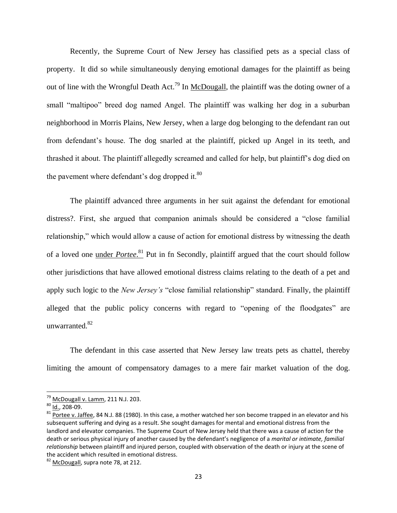Recently, the Supreme Court of New Jersey has classified pets as a special class of property. It did so while simultaneously denying emotional damages for the plaintiff as being out of line with the Wrongful Death Act.<sup>79</sup> In McDougall, the plaintiff was the doting owner of a small "maltipoo" breed dog named Angel. The plaintiff was walking her dog in a suburban neighborhood in Morris Plains, New Jersey, when a large dog belonging to the defendant ran out from defendant's house. The dog snarled at the plaintiff, picked up Angel in its teeth, and thrashed it about. The plaintiff allegedly screamed and called for help, but plaintiff's dog died on the pavement where defendant's dog dropped it. $80$ 

The plaintiff advanced three arguments in her suit against the defendant for emotional distress?. First, she argued that companion animals should be considered a "close familial relationship," which would allow a cause of action for emotional distress by witnessing the death of a loved one under *Portee*. <sup>81</sup> Put in fn Secondly, plaintiff argued that the court should follow other jurisdictions that have allowed emotional distress claims relating to the death of a pet and apply such logic to the *New Jersey's* "close familial relationship" standard. Finally, the plaintiff alleged that the public policy concerns with regard to "opening of the floodgates" are unwarranted.<sup>82</sup>

The defendant in this case asserted that New Jersey law treats pets as chattel, thereby limiting the amount of compensatory damages to a mere fair market valuation of the dog.

 $79$  McDougall v. Lamm, 211 N.J. 203.

 $80$  Id., 208-09.

 $81$  Portee v. Jaffee, 84 N.J. 88 (1980). In this case, a mother watched her son become trapped in an elevator and his subsequent suffering and dying as a result. She sought damages for mental and emotional distress from the landlord and elevator companies. The Supreme Court of New Jersey held that there was a cause of action for the death or serious physical injury of another caused by the defendant's negligence of a *marital or intimate, familial relationship* between plaintiff and injured person, coupled with observation of the death or injury at the scene of the accident which resulted in emotional distress.

<sup>&</sup>lt;sup>82</sup> McDougall, supra note 78, at 212.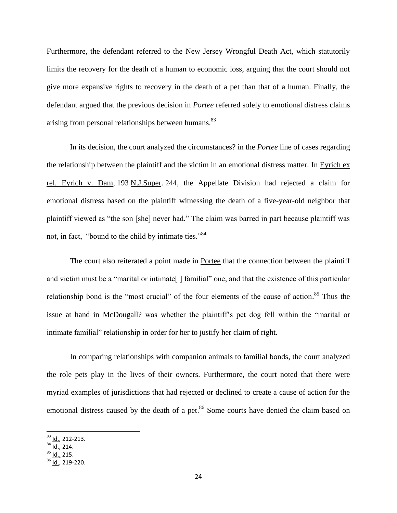Furthermore, the defendant referred to the New Jersey Wrongful Death Act, which statutorily limits the recovery for the death of a human to economic loss, arguing that the court should not give more expansive rights to recovery in the death of a pet than that of a human. Finally, the defendant argued that the previous decision in *Portee* referred solely to emotional distress claims arising from personal relationships between humans.<sup>83</sup>

In its decision, the court analyzed the circumstances? in the *Portee* line of cases regarding the relationship between the plaintiff and the victim in an emotional distress matter. In Eyrich ex rel. Eyrich v. Dam, 193 N.J.Super. 244, the Appellate Division had rejected a claim for emotional distress based on the plaintiff witnessing the death of a five-year-old neighbor that plaintiff viewed as "the son [she] never had." The claim was barred in part because plaintiff was not, in fact, "bound to the child by intimate ties."<sup>84</sup>

The court also reiterated a point made in Portee that the connection between the plaintiff and victim must be a "marital or intimate[ ] familial" one, and that the existence of this particular relationship bond is the "most crucial" of the four elements of the cause of action.<sup>85</sup> Thus the issue at hand in McDougall? was whether the plaintiff's pet dog fell within the "marital or intimate familial" relationship in order for her to justify her claim of right.

In comparing relationships with companion animals to familial bonds, the court analyzed the role pets play in the lives of their owners. Furthermore, the court noted that there were myriad examples of jurisdictions that had rejected or declined to create a cause of action for the emotional distress caused by the death of a pet.<sup>86</sup> Some courts have denied the claim based on

<sup>&</sup>lt;sup>83</sup> <u>Id.</u>, 212-213.

<sup>&</sup>lt;sup>84</sup> <u>Id.</u>, 214.

 $85$  Id., 215.

 $86$  Id., 219-220.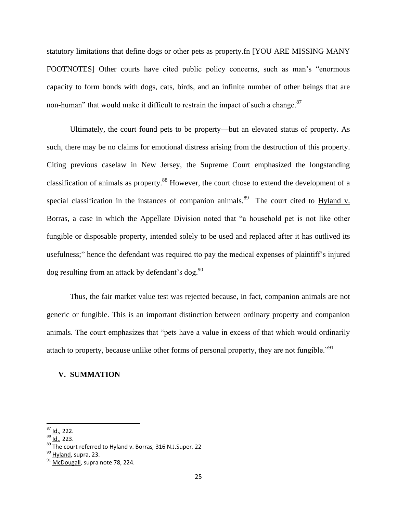statutory limitations that define dogs or other pets as property.fn [YOU ARE MISSING MANY FOOTNOTES] Other courts have cited public policy concerns, such as man's "enormous capacity to form bonds with dogs, cats, birds, and an infinite number of other beings that are non-human" that would make it difficult to restrain the impact of such a change.<sup>87</sup>

Ultimately, the court found pets to be property—but an elevated status of property. As such, there may be no claims for emotional distress arising from the destruction of this property. Citing previous caselaw in New Jersey, the Supreme Court emphasized the longstanding classification of animals as property.<sup>88</sup> However, the court chose to extend the development of a special classification in the instances of companion animals.<sup>89</sup> The court cited to Hyland v. Borras, a case in which the Appellate Division noted that "a household pet is not like other fungible or disposable property, intended solely to be used and replaced after it has outlived its usefulness;" hence the defendant was required tto pay the medical expenses of plaintiff's injured dog resulting from an attack by defendant's dog.<sup>90</sup>

Thus, the fair market value test was rejected because, in fact, companion animals are not generic or fungible. This is an important distinction between ordinary property and companion animals. The court emphasizes that "pets have a value in excess of that which would ordinarily attach to property, because unlike other forms of personal property, they are not fungible."<sup>91</sup>

#### **V. SUMMATION**

 $87$  Id., 222.

 $88 \overline{10}$ , 223.

<sup>89</sup> The court referred to Hyland v. Borras*,* 316 N.J.Super*.* 22

<sup>&</sup>lt;sup>90</sup> Hyland, supra, 23.

 $91$  McDougall, supra note 78, 224.